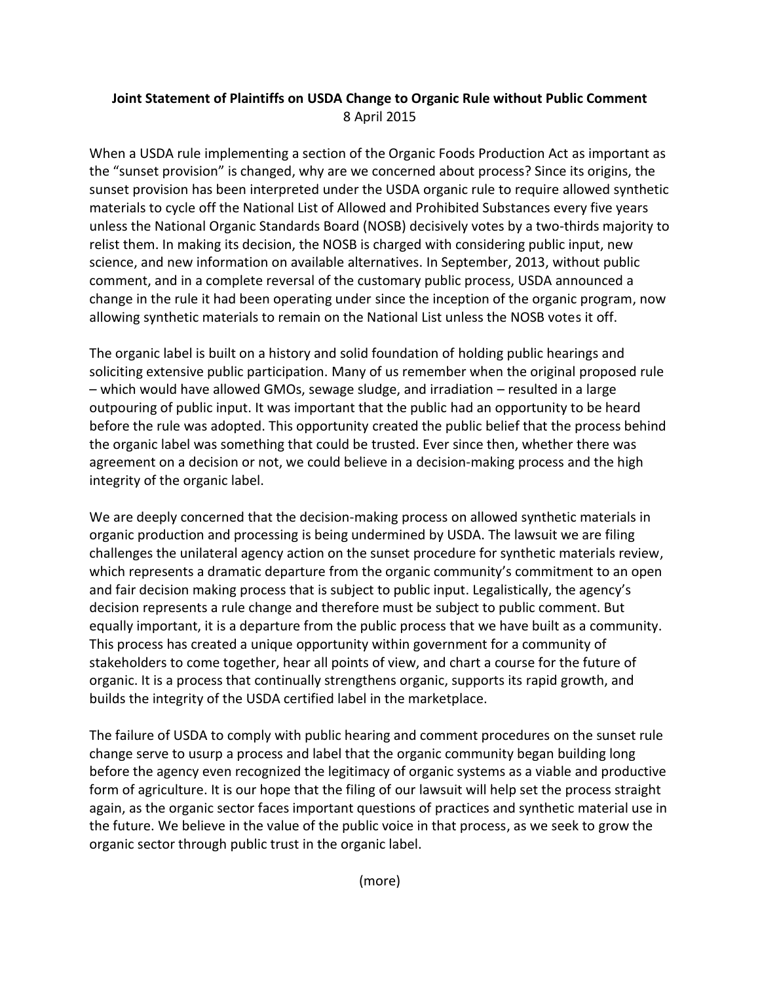## **Joint Statement of Plaintiffs on USDA Change to Organic Rule without Public Comment** 8 April 2015

When a USDA rule implementing a section of the Organic Foods Production Act as important as the "sunset provision" is changed, why are we concerned about process? Since its origins, the sunset provision has been interpreted under the USDA organic rule to require allowed synthetic materials to cycle off the National List of Allowed and Prohibited Substances every five years unless the National Organic Standards Board (NOSB) decisively votes by a two-thirds majority to relist them. In making its decision, the NOSB is charged with considering public input, new science, and new information on available alternatives. In September, 2013, without public comment, and in a complete reversal of the customary public process, USDA announced a change in the rule it had been operating under since the inception of the organic program, now allowing synthetic materials to remain on the National List unless the NOSB votes it off.

The organic label is built on a history and solid foundation of holding public hearings and soliciting extensive public participation. Many of us remember when the original proposed rule – which would have allowed GMOs, sewage sludge, and irradiation – resulted in a large outpouring of public input. It was important that the public had an opportunity to be heard before the rule was adopted. This opportunity created the public belief that the process behind the organic label was something that could be trusted. Ever since then, whether there was agreement on a decision or not, we could believe in a decision-making process and the high integrity of the organic label.

We are deeply concerned that the decision-making process on allowed synthetic materials in organic production and processing is being undermined by USDA. The lawsuit we are filing challenges the unilateral agency action on the sunset procedure for synthetic materials review, which represents a dramatic departure from the organic community's commitment to an open and fair decision making process that is subject to public input. Legalistically, the agency's decision represents a rule change and therefore must be subject to public comment. But equally important, it is a departure from the public process that we have built as a community. This process has created a unique opportunity within government for a community of stakeholders to come together, hear all points of view, and chart a course for the future of organic. It is a process that continually strengthens organic, supports its rapid growth, and builds the integrity of the USDA certified label in the marketplace.

The failure of USDA to comply with public hearing and comment procedures on the sunset rule change serve to usurp a process and label that the organic community began building long before the agency even recognized the legitimacy of organic systems as a viable and productive form of agriculture. It is our hope that the filing of our lawsuit will help set the process straight again, as the organic sector faces important questions of practices and synthetic material use in the future. We believe in the value of the public voice in that process, as we seek to grow the organic sector through public trust in the organic label.